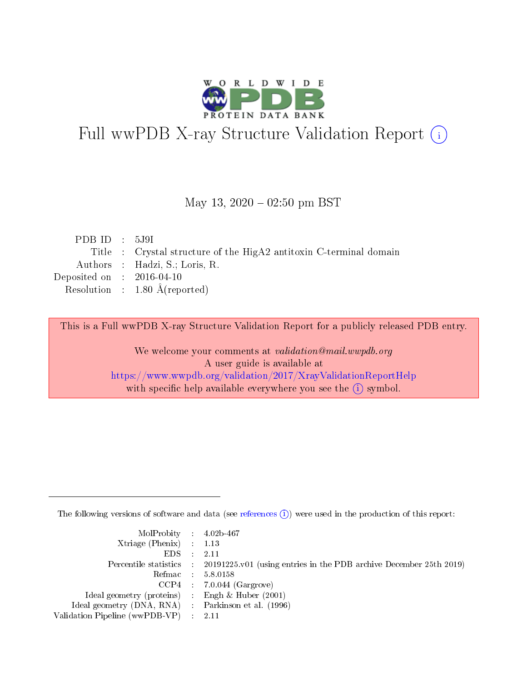

# Full wwPDB X-ray Structure Validation Report (i)

#### May 13,  $2020 - 02:50$  pm BST

| PDBID : 5J9I                         |                                                                    |
|--------------------------------------|--------------------------------------------------------------------|
|                                      | Title : Crystal structure of the HigA2 antitoxin C-terminal domain |
|                                      | Authors : Hadzi, S.; Loris, R.                                     |
| Deposited on $\therefore$ 2016-04-10 |                                                                    |
|                                      | Resolution : $1.80 \text{ Å}$ (reported)                           |
|                                      |                                                                    |

This is a Full wwPDB X-ray Structure Validation Report for a publicly released PDB entry.

We welcome your comments at validation@mail.wwpdb.org A user guide is available at <https://www.wwpdb.org/validation/2017/XrayValidationReportHelp> with specific help available everywhere you see the  $(i)$  symbol.

The following versions of software and data (see [references](https://www.wwpdb.org/validation/2017/XrayValidationReportHelp#references)  $(i)$ ) were used in the production of this report:

| $MolProbability$ 4.02b-467                          |                                                                                            |
|-----------------------------------------------------|--------------------------------------------------------------------------------------------|
| Xtriage (Phenix) $: 1.13$                           |                                                                                            |
| $EDS$ :                                             | -2.11                                                                                      |
|                                                     | Percentile statistics : 20191225.v01 (using entries in the PDB archive December 25th 2019) |
|                                                     | Refmac : 5.8.0158                                                                          |
|                                                     | $CCP4$ : 7.0.044 (Gargrove)                                                                |
| Ideal geometry (proteins) : Engh $\&$ Huber (2001)  |                                                                                            |
| Ideal geometry (DNA, RNA) : Parkinson et al. (1996) |                                                                                            |
| Validation Pipeline (wwPDB-VP)                      | -2.11                                                                                      |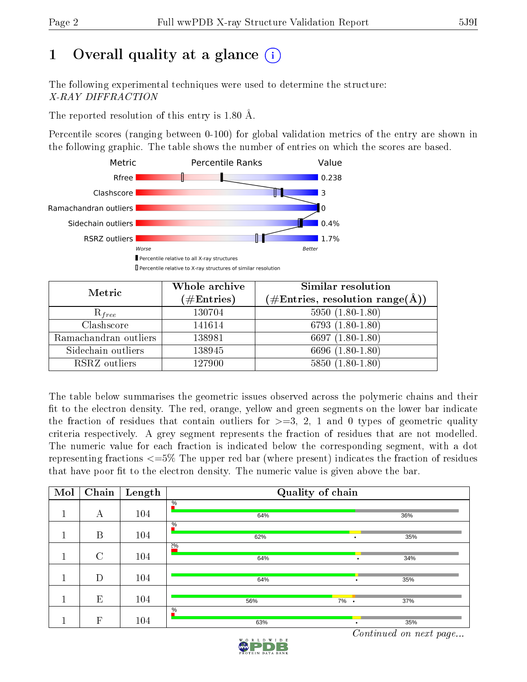## 1 [O](https://www.wwpdb.org/validation/2017/XrayValidationReportHelp#overall_quality)verall quality at a glance  $(i)$

The following experimental techniques were used to determine the structure: X-RAY DIFFRACTION

The reported resolution of this entry is 1.80 Å.

Percentile scores (ranging between 0-100) for global validation metrics of the entry are shown in the following graphic. The table shows the number of entries on which the scores are based.



| Metric                | Whole archive<br>$(\#\text{Entries})$ | Similar resolution<br>(#Entries, resolution range( $\AA$ )) |
|-----------------------|---------------------------------------|-------------------------------------------------------------|
| $R_{free}$            | 130704                                | $5950(1.80-1.80)$                                           |
| Clashscore            | 141614                                | 6793 $(1.80-1.80)$                                          |
| Ramachandran outliers | 138981                                | 6697 $(1.80-1.80)$                                          |
| Sidechain outliers    | 138945                                | 6696 (1.80-1.80)                                            |
| RSRZ outliers         | 127900                                | $5850(1.80-1.80)$                                           |

The table below summarises the geometric issues observed across the polymeric chains and their fit to the electron density. The red, orange, yellow and green segments on the lower bar indicate the fraction of residues that contain outliers for  $>=3, 2, 1$  and 0 types of geometric quality criteria respectively. A grey segment represents the fraction of residues that are not modelled. The numeric value for each fraction is indicated below the corresponding segment, with a dot representing fractions  $\epsilon=5\%$  The upper red bar (where present) indicates the fraction of residues that have poor fit to the electron density. The numeric value is given above the bar.

| Mol | Chain          | Length | Quality of chain     |                 |     |  |  |
|-----|----------------|--------|----------------------|-----------------|-----|--|--|
|     | А              | 104    | $\frac{0}{6}$<br>64% |                 | 36% |  |  |
|     | B              | 104    | $\frac{0}{6}$<br>62% |                 | 35% |  |  |
|     | $\overline{C}$ | 104    | 20/0<br>64%          |                 | 34% |  |  |
|     | D              | 104    | 64%                  |                 | 35% |  |  |
|     | E              | 104    | 56%                  | 7%<br>$\bullet$ | 37% |  |  |
|     | $\mathbf{F}$   | 104    | $\frac{0}{6}$<br>63% |                 | 35% |  |  |

Continued on next page...

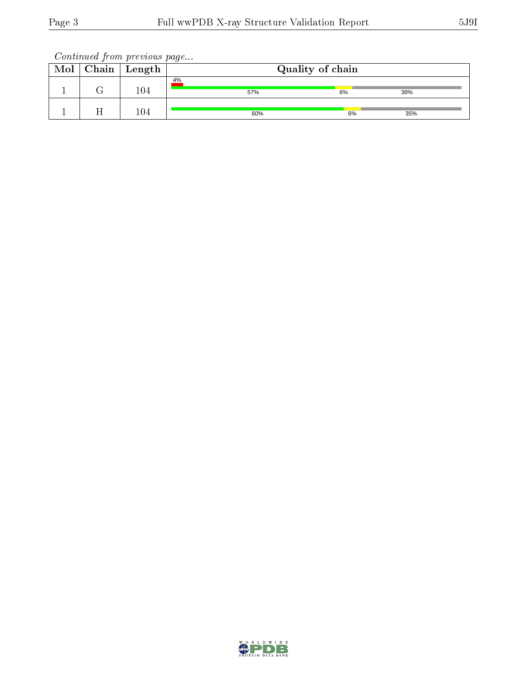Continued from previous page...

| Mol | Chain | ' Length | Quality of chain |    |     |  |  |
|-----|-------|----------|------------------|----|-----|--|--|
|     |       | 104      | 4%<br>57%        | 6% | 38% |  |  |
|     |       | 104      | 60%              | 6% | 35% |  |  |

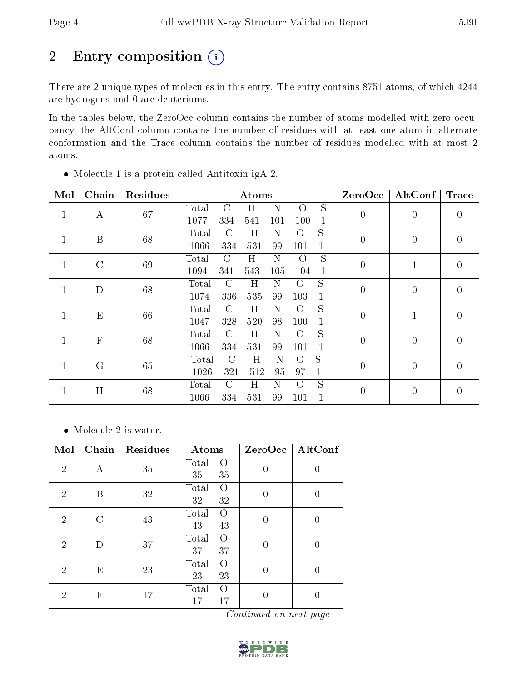## 2 Entry composition (i)

There are 2 unique types of molecules in this entry. The entry contains 8751 atoms, of which 4244 are hydrogens and 0 are deuteriums.

In the tables below, the ZeroOcc column contains the number of atoms modelled with zero occupancy, the AltConf column contains the number of residues with at least one atom in alternate conformation and the Trace column contains the number of residues modelled with at most 2 atoms.

| Mol          | Chain        | Residues |       | Atoms         |         |     |                  |              | ZeroOcc        | AltConf        | <b>Trace</b>   |
|--------------|--------------|----------|-------|---------------|---------|-----|------------------|--------------|----------------|----------------|----------------|
| $\mathbf{1}$ | А            | 67       | Total | C             | Η       | Ν   | O                | S            | $\overline{0}$ | $\overline{0}$ | 0              |
|              |              |          | 1077  | 334           | 541     | 101 | 100              | 1            |                |                |                |
| 1            | B            | 68       | Total | $\mathcal{C}$ | H       | Ν   | $\Omega$         | S            | $\overline{0}$ | $\overline{0}$ | $\overline{0}$ |
|              |              |          | 1066  | 334           | 531     | 99  | 101              | 1            |                |                |                |
| $\mathbf{1}$ | $\rm C$      | 69       | Total | $\mathcal{C}$ | H       | N   | $\overline{O}$   | S            | $\overline{0}$ | $\mathbf{1}$   | $\overline{0}$ |
|              |              |          | 1094  | 341           | 543     | 105 | 104              | $\mathbf{1}$ |                |                |                |
| 1            | D            | 68       | Total | C             | Η       | Ν   | Ω                | S            | $\overline{0}$ | $\overline{0}$ | 0              |
|              |              |          | 1074  | 336           | 535     | 99  | 103              | 1            |                |                |                |
| 1            | E            | 66       | Total | $\rm C$       | H       | N   | O                | S            | $\overline{0}$ | $\mathbf 1$    | $\overline{0}$ |
|              |              |          | 1047  | 328           | 520     | 98  | 100              | 1            |                |                |                |
| $\mathbf{1}$ | $\mathbf{F}$ | 68       | Total | $\mathcal{C}$ | H       | N   | $\Omega$         | S            | $\overline{0}$ | $\overline{0}$ | $\overline{0}$ |
|              |              |          | 1066  | 334           | 531     | 99  | 101              |              |                |                |                |
| $\mathbf{1}$ | G            | 65       | Total | C             | Η       | Ν   | $\left( \right)$ | S            | $\overline{0}$ | $\overline{0}$ | $\overline{0}$ |
|              |              |          | 1026  | 321           | 512     | 95  | 97               | 1            |                |                |                |
|              | H            |          | Total | $\mathcal{C}$ | $\rm H$ | N   | $\Omega$         | S            | $\overline{0}$ | $\overline{0}$ | $\overline{0}$ |
|              | 1            | 68       | 1066  | 334           | 531     | 99  | 101              |              |                |                |                |

Molecule 1 is a protein called Antitoxin igA-2.

• Molecule 2 is water.

| Mol            | Chain                       | Residues | Atoms                                 | ZeroOcc | $\mathrm{AltConf}$ |
|----------------|-----------------------------|----------|---------------------------------------|---------|--------------------|
| $\overline{2}$ | А                           | 35       | Total<br>$\left( \right)$<br>35<br>35 |         | 0                  |
| $\overline{2}$ | В                           | 32       | Total<br>$\Omega$<br>32<br>32         |         | 0                  |
| $\overline{2}$ | $\mathcal{C}_{\mathcal{C}}$ | 43       | Total<br>$\Omega$<br>43<br>43         |         | 0                  |
| $\overline{2}$ | D                           | 37       | Total<br>$\Omega$<br>37<br>37         |         | 0                  |
| $\overline{2}$ | E                           | 23       | Total<br>$\Omega$<br>23<br>23         | 0       | 0                  |
| 2              | $\mathbf F$                 | 17       | Total<br>$\Omega$<br>17<br>17         |         |                    |

Continued on next page...

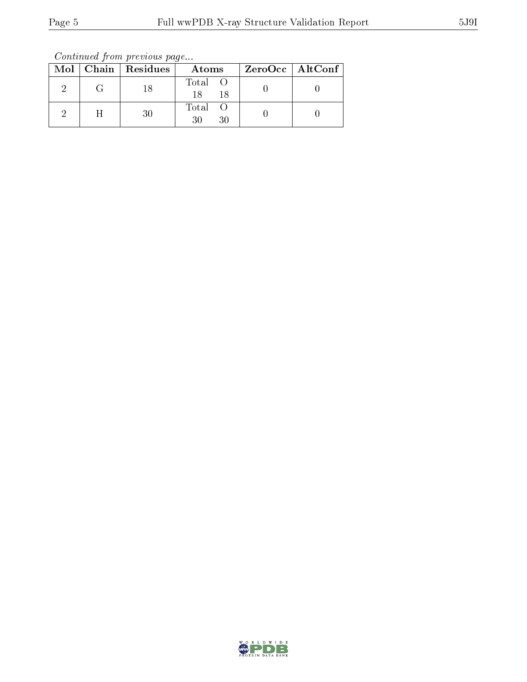Continued from previous page...

|   | Mol   Chain   Residues | Atoms               | ZeroOcc   AltConf |
|---|------------------------|---------------------|-------------------|
|   | 18                     | Total O<br>18<br>18 |                   |
| H | 30                     | Total<br>30<br>30   |                   |

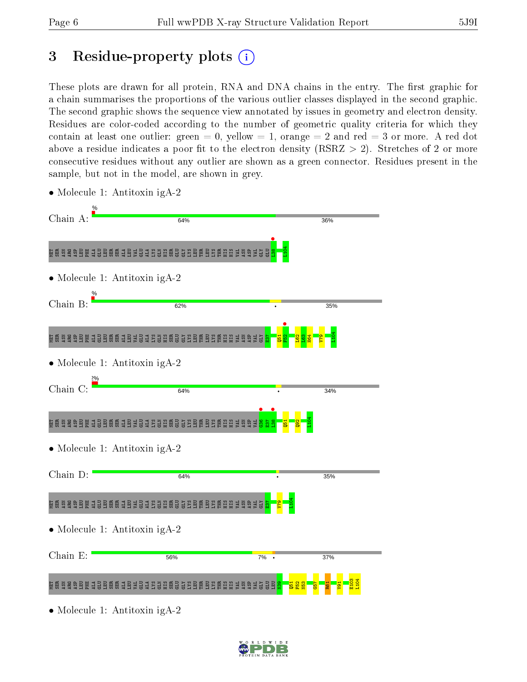## 3 Residue-property plots  $(i)$

These plots are drawn for all protein, RNA and DNA chains in the entry. The first graphic for a chain summarises the proportions of the various outlier classes displayed in the second graphic. The second graphic shows the sequence view annotated by issues in geometry and electron density. Residues are color-coded according to the number of geometric quality criteria for which they contain at least one outlier: green  $= 0$ , yellow  $= 1$ , orange  $= 2$  and red  $= 3$  or more. A red dot above a residue indicates a poor fit to the electron density (RSRZ  $> 2$ ). Stretches of 2 or more consecutive residues without any outlier are shown as a green connector. Residues present in the sample, but not in the model, are shown in grey.



• Molecule 1: Antitoxin igA-2

• Molecule 1: Antitoxin igA-2

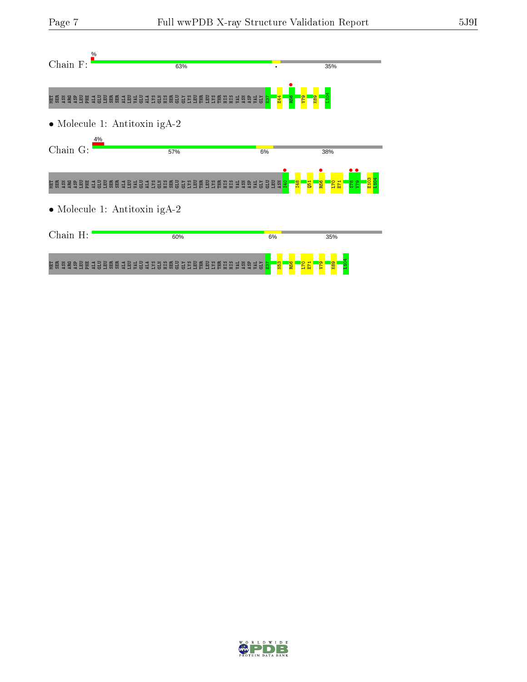| $\%$<br>Chain F: | 63%                           |                        | 35%                                                 |  |
|------------------|-------------------------------|------------------------|-----------------------------------------------------|--|
|                  |                               | R56<br><b>日生</b>       | <b>ez</b>                                           |  |
|                  | • Molecule 1: Antitoxin igA-2 |                        |                                                     |  |
| Chain G:         | 4%<br>57%                     | 6%                     | 38%                                                 |  |
|                  |                               | $\frac{98}{2}$         | R56<br>878<br>873<br>$\frac{173}{21}$<br><b>Q51</b> |  |
|                  | • Molecule 1: Antitoxin igA-2 |                        |                                                     |  |
| Chain H:         | 60%                           | 6%                     | 35%                                                 |  |
|                  |                               | R56<br>N <sub>53</sub> | <b>64</b><br>$\overline{170}$<br>E71<br>88          |  |

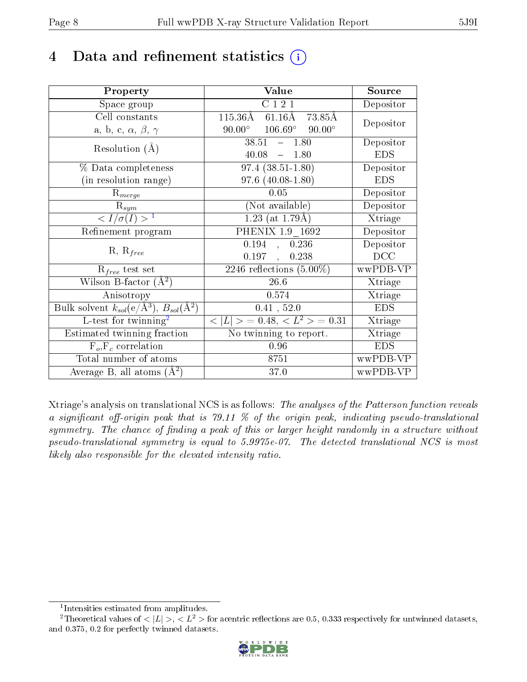## 4 Data and refinement statistics  $(i)$

| Property                                                                | Value                                             | Source     |
|-------------------------------------------------------------------------|---------------------------------------------------|------------|
| Space group                                                             | C121                                              | Depositor  |
| Cell constants                                                          | $115.36\text{\AA}$<br>$61.16\text{\AA}$<br>73.85Å |            |
| a, b, c, $\alpha$ , $\beta$ , $\gamma$                                  | $106.69^\circ$<br>$90.00^\circ$<br>$90.00^\circ$  | Depositor  |
| Resolution $(A)$                                                        | $38.51 - 1.80$                                    | Depositor  |
|                                                                         | 40.08<br>$-1.80$                                  | <b>EDS</b> |
| % Data completeness                                                     | $97.4(38.51-1.80)$                                | Depositor  |
| (in resolution range)                                                   | $97.6(40.08-1.80)$                                | <b>EDS</b> |
| $R_{merge}$                                                             | 0.05                                              | Depositor  |
| $\mathrm{R}_{sym}$                                                      | (Not available)                                   | Depositor  |
| $\langle I/\sigma(I) \rangle^{-1}$                                      | $1.23$ (at 1.79Å)                                 | Xtriage    |
| Refinement program                                                      | PHENIX 1.9 1692                                   | Depositor  |
|                                                                         | 0.194<br>0.236<br>$\sim$                          | Depositor  |
| $R, R_{free}$                                                           | 0.197,<br>0.238                                   | DCC        |
| $\mathcal{R}_{free}$ test set                                           | $\overline{2246}$ reflections $(5.00\%)$          | wwPDB-VP   |
| Wilson B-factor $(A^2)$                                                 | $26.6\,$                                          | Xtriage    |
| Anisotropy                                                              | 0.574                                             | Xtriage    |
| Bulk solvent $k_{sol}(\mathrm{e}/\mathrm{A}^3),\,B_{sol}(\mathrm{A}^2)$ | 0.41, 52.0                                        | <b>EDS</b> |
| L-test for twinning <sup>2</sup>                                        | $< L >$ = 0.48, $< L2 >$ = 0.31                   | Xtriage    |
| Estimated twinning fraction                                             | No twinning to report.                            | Xtriage    |
| $F_o, F_c$ correlation                                                  | 0.96                                              | <b>EDS</b> |
| Total number of atoms                                                   | 8751                                              | wwPDB-VP   |
| Average B, all atoms $(A^2)$                                            | 37.0                                              | wwPDB-VP   |

Xtriage's analysis on translational NCS is as follows: The analyses of the Patterson function reveals a significant off-origin peak that is 79.11  $\%$  of the origin peak, indicating pseudo-translational symmetry. The chance of finding a peak of this or larger height randomly in a structure without pseudo-translational symmetry is equal to 5.9975e-07. The detected translational NCS is most likely also responsible for the elevated intensity ratio.

<sup>&</sup>lt;sup>2</sup>Theoretical values of  $\langle |L| \rangle$ ,  $\langle L^2 \rangle$  for acentric reflections are 0.5, 0.333 respectively for untwinned datasets, and 0.375, 0.2 for perfectly twinned datasets.



<span id="page-7-1"></span><span id="page-7-0"></span><sup>1</sup> Intensities estimated from amplitudes.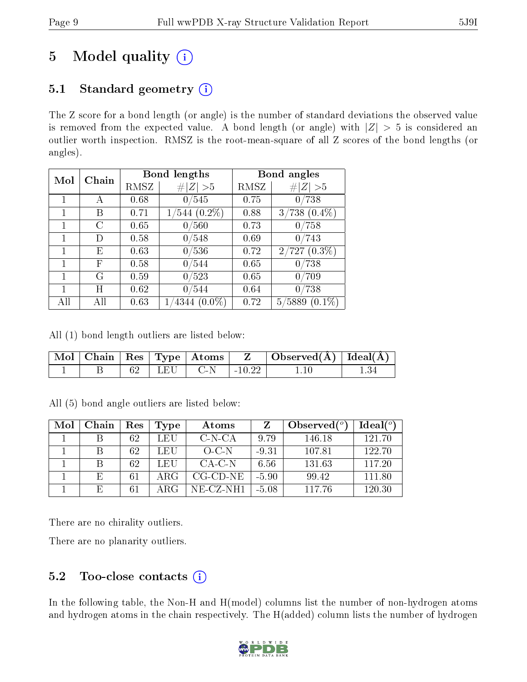## 5 Model quality  $(i)$

## 5.1 Standard geometry  $(i)$

The Z score for a bond length (or angle) is the number of standard deviations the observed value is removed from the expected value. A bond length (or angle) with  $|Z| > 5$  is considered an outlier worth inspection. RMSZ is the root-mean-square of all Z scores of the bond lengths (or angles).

| Mol | Chain          | <b>Bond lengths</b> |                    | Bond angles |                     |
|-----|----------------|---------------------|--------------------|-------------|---------------------|
|     |                | RMSZ                | # $ Z  > 5$        | RMSZ        | # $ Z  > 5$         |
|     |                | 0.68                | 0/545              | 0.75        | 0/738               |
|     | В              | 0.71                | $1/544$ $(0.2\%)$  | 0.88        | $3/738$ $(0.4\%)$   |
|     | $\mathfrak{C}$ | 0.65                | 0/560              | 0.73        | 0/758               |
|     | Ð              | 0.58                | 0/548              | 0.69        | 0/743               |
|     | Ε              | 0.63                | 0/536              | 0.72        | $2/727(0.3\%)$      |
|     | F              | 0.58                | 0/544              | 0.65        | 0/738               |
|     | G              | 0.59                | 0/523              | 0.65        | 0/709               |
|     | Η              | 0.62                | 0/544              | 0.64        | 0/738               |
| AH  |                | 0.63                | $(0.0\%)$<br>′4344 | 0.72        | $(0.1\%)$<br>5/5889 |

All (1) bond length outliers are listed below:

|  |        | $\overline{\mid}$ Mol $\mid$ Chain $\mid$ Res $\mid$ Type $\mid$ Atoms $\perp$ |          | $\Box$ Observed( $\AA$ ) $\Box$ Ideal( $\AA$ ) $\Box$ |  |
|--|--------|--------------------------------------------------------------------------------|----------|-------------------------------------------------------|--|
|  | 1 I.EU | – C-N                                                                          | $-10.22$ |                                                       |  |

All (5) bond angle outliers are listed below:

| Mol | Chain | Res | Type | Atoms              |         | Observed $(°)$ | Ideal(°) |
|-----|-------|-----|------|--------------------|---------|----------------|----------|
|     |       | 62  | LEU  | $C-N-CA$           | 9.79    | 146.18         | 121.70   |
|     |       | 62  | LEU  | $O-C-N$            | $-9.31$ | 107.81         | 122.70   |
|     |       | 62  | LEU  | CA-C-N             | 6.56    | 131.63         | 117.20   |
|     | F,    | 61  | ARG  | $CG$ - $CD$ - $NE$ | $-5.90$ | 99.42          | 111.80   |
|     | E     | 61  | ARG  | $NE-CZ-NH1$        | -5.08   | 117 76         | 120.30   |

There are no chirality outliers.

There are no planarity outliers.

## 5.2 Too-close contacts  $(i)$

In the following table, the Non-H and H(model) columns list the number of non-hydrogen atoms and hydrogen atoms in the chain respectively. The H(added) column lists the number of hydrogen

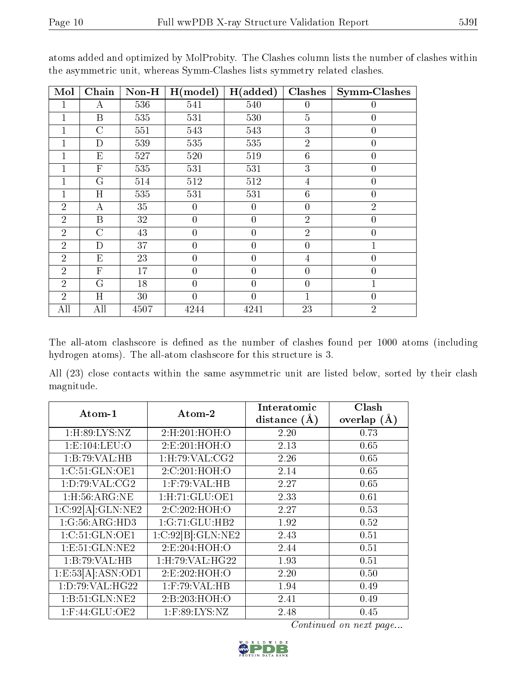| Mol            | Chain            | $Non-H$ | H (model)      | H(added)       | <b>Clashes</b>   | Symm-Clashes     |
|----------------|------------------|---------|----------------|----------------|------------------|------------------|
| 1              | A                | 536     | 541            | 540            | $\overline{0}$   | $\boldsymbol{0}$ |
|                | $\mathbf B$      | 535     | 531            | 530            | $\overline{5}$   | $\overline{0}$   |
|                | $\overline{C}$   | 551     | 543            | 543            | 3                | $\overline{0}$   |
|                | $\mathbf D$      | 539     | 535            | 535            | $\overline{2}$   | $\overline{0}$   |
|                | $E_{\rm}$        | 527     | 520            | 519            | $\boldsymbol{6}$ | $\overline{0}$   |
|                | $\mathbf{F}$     | 535     | 531            | 531            | 3                | $\overline{0}$   |
|                | G                | 514     | 512            | 512            | $\overline{4}$   | $\overline{0}$   |
|                | H                | 535     | 531            | 531            | $6\phantom{.}6$  | $\boldsymbol{0}$ |
| $\overline{2}$ | $\boldsymbol{A}$ | 35      | $\overline{0}$ | $\overline{0}$ | $\overline{0}$   | $\overline{2}$   |
| $\overline{2}$ | B                | 32      | $\overline{0}$ | $\overline{0}$ | $\overline{2}$   | $\overline{0}$   |
| $\overline{2}$ | $\overline{C}$   | 43      | $\overline{0}$ | $\overline{0}$ | $\overline{2}$   | $\overline{0}$   |
| $\overline{2}$ | D                | 37      | $\overline{0}$ | $\overline{0}$ | $\overline{0}$   | $\mathbf{1}$     |
| $\overline{2}$ | E                | 23      | $\overline{0}$ | $\overline{0}$ | $\overline{4}$   | $\overline{0}$   |
| $\overline{2}$ | $\mathbf{F}$     | 17      | $\overline{0}$ | $\overline{0}$ | $\overline{0}$   | $\overline{0}$   |
| $\overline{2}$ | G                | 18      | $\overline{0}$ | $\overline{0}$ | $\overline{0}$   | $\mathbf 1$      |
| $\overline{2}$ | H                | 30      | $\overline{0}$ | $\theta$       | $\overline{1}$   | $\overline{0}$   |
| All            | All              | 4507    | 4244           | 4241           | 23               | $\overline{2}$   |

atoms added and optimized by MolProbity. The Clashes column lists the number of clashes within the asymmetric unit, whereas Symm-Clashes lists symmetry related clashes.

The all-atom clashscore is defined as the number of clashes found per 1000 atoms (including hydrogen atoms). The all-atom clashscore for this structure is 3.

All (23) close contacts within the same asymmetric unit are listed below, sorted by their clash magnitude.

| Atom-1                | Atom-2             | Interatomic    | Clash         |
|-----------------------|--------------------|----------------|---------------|
|                       |                    | distance $(A)$ | overlap $(A)$ |
| 1: H:89: LYS: NZ      | 2:H:201:HOH:O      | 2.20           | 0.73          |
| 1:E:104:LEU:O         | 2:E:201:HOH:O      | 2.13           | 0.65          |
| 1:B:79:VAL:HB         | 1: H:79: VAL:CG2   | 2.26           | 0.65          |
| 1:C:51:GLN:OE1        | 2:C:201:HOH:O      | 2.14           | 0.65          |
| 1: D:79: VAL: CG2     | $1:$ F:79:VAL:HB   | 2.27           | 0.65          |
| 1: H: 56: ARG: NE     | 1: H: 71: GLU: OE1 | 2.33           | 0.61          |
| 1:C:92[A]:GLN:NE2     | 2:C:202:HOH:O      | 2.27           | 0.53          |
| 1:G:56:ARG:HD3        | 1:G:71:GLU:HB2     | 1.92           | 0.52          |
| 1:C:51:GLN:OE1        | 1:C:92[B]:GLN:NE2  | 2.43           | 0.51          |
| 1: E:51: GLN: NE2     | 2:E:204:HOH:O      | 2.44           | 0.51          |
| 1:B:79:VAL:HB         | 1: H: 79: VAL:HG22 | 1.93           | 0.51          |
| 1: E: 53[A]: ASN: OD1 | 2:E:202:HOH:O      | 2.20           | 0.50          |
| 1: D:79: VAL:HG22     | $1:$ F:79:VAL:HB   | 1.94           | 0.49          |
| 1:B:51:GLN:NE2        | 2:B:203:HOH:O      | 2.41           | 0.49          |
| 1:F:44:GLU:OE2        | $1:$ F:89:LYS:NZ   | 2.48           | 0.45          |

Continued on next page...

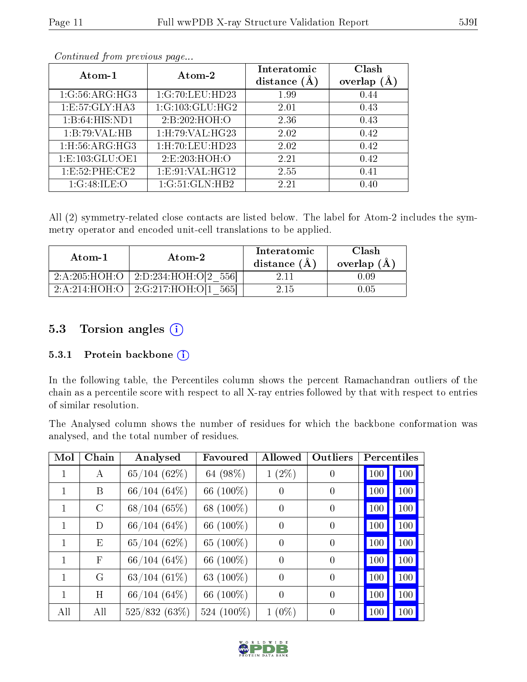| Atom-1              | Atom-2            | Interatomic<br>distance $(A)$ | Clash<br>overlap |
|---------------------|-------------------|-------------------------------|------------------|
| 1:G:56:ARG:HG3      | 1:G:70:LEU:HD23   | 1.99                          | 0.44             |
| 1:E:57:GLY:HA3      | 1:G:103:GLU:HG2   | 2.01                          | 0.43             |
| 1:B:64:HIS:ND1      | 2:B:202:HOH:O     | 2.36                          | 0.43             |
| 1:B:79:VAL:HB       | 1:H:79:VAL:HG23   | 2.02                          | 0.42             |
| $1:$ H:56:ARG:HG3   | 1:H:70:LEU:HD23   | 2.02                          | 0.42             |
| 1: E: 103: GLU: OE1 | 2:E:203:HOH:O     | 2.21                          | 0.42             |
| 1:E:52:PHE:CE2      | 1: E:91: VAL:HG12 | 2.55                          | 0.41             |
| 1:G:48:ILE:O        | 1:G:51:GLN:HB2    | 2.21                          | 0.40             |

Continued from previous page...

All (2) symmetry-related close contacts are listed below. The label for Atom-2 includes the symmetry operator and encoded unit-cell translations to be applied.

| Atom-1 | Atom-2                                      | Interatomic<br>distance $(A)$ | Clash<br>overlap $(A)$ |
|--------|---------------------------------------------|-------------------------------|------------------------|
|        | $2:A:205:HOH:O$   2:D:234:HOH:O[2 556]      |                               | 0.09                   |
|        | $2:A:214:HOH:O$   $2:G:217:HOH:OI$<br>-5651 | -2.15 -                       | ) (15                  |

### 5.3 Torsion angles (i)

#### 5.3.1 Protein backbone (i)

In the following table, the Percentiles column shows the percent Ramachandran outliers of the chain as a percentile score with respect to all X-ray entries followed by that with respect to entries of similar resolution.

The Analysed column shows the number of residues for which the backbone conformation was analysed, and the total number of residues.

| Mol          | Chain         | Analysed       | Favoured   | <b>Allowed</b>   | Outliers         | Percentiles |
|--------------|---------------|----------------|------------|------------------|------------------|-------------|
|              | А             | 65/104(62%)    | 64 (98%)   | $1(2\%)$         | $\boldsymbol{0}$ | 100<br>100  |
|              | Β             | 66/104(64%)    | 66 (100%)  | $\boldsymbol{0}$ | $\overline{0}$   | 100<br>100  |
| 1            | $\mathcal{C}$ | 68/104(65%)    | 68 (100%)  | $\theta$         | $\overline{0}$   | 100<br>100  |
| $\mathbf{1}$ | D             | $66/104(64\%)$ | 66 (100%)  | $\boldsymbol{0}$ | $\overline{0}$   | 100<br>100  |
| 1            | Ε             | 65/104(62%)    | 65 (100%)  | $\overline{0}$   | $\overline{0}$   | 100<br>100  |
| 1            | $_{\rm F}$    | $66/104(64\%)$ | 66 (100%)  | $\overline{0}$   | $\overline{0}$   | 100<br>100  |
|              | G             | $63/104(61\%)$ | 63 (100%)  | $\overline{0}$   | $\theta$         | 100<br>100  |
| 1            | Η             | $66/104(64\%)$ | 66 (100%)  | $\overline{0}$   | $\overline{0}$   | 100<br>100  |
| All          | All           | 525/832 (63%)  | 524 (100%) | $1(0\%)$         | $\overline{0}$   | 100<br>100  |

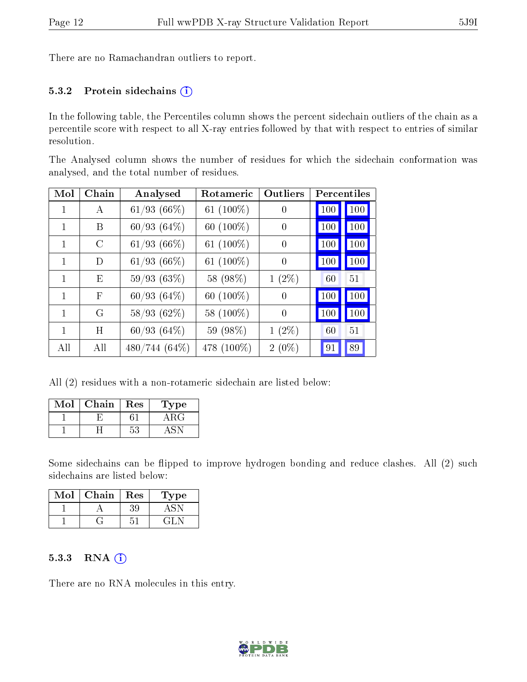There are no Ramachandran outliers to report.

#### 5.3.2 Protein sidechains  $(i)$

In the following table, the Percentiles column shows the percent sidechain outliers of the chain as a percentile score with respect to all X-ray entries followed by that with respect to entries of similar resolution.

The Analysed column shows the number of residues for which the sidechain conformation was analysed, and the total number of residues.

| Mol | Chain | Analysed         | Rotameric    | Outliers | Percentiles |     |
|-----|-------|------------------|--------------|----------|-------------|-----|
|     | А     | 61/93(66%)       | 61 $(100\%)$ | $\theta$ | 100         | 100 |
| 1   | B     | 60/93(64%)       | 60 (100%)    | $\theta$ | 100         | 100 |
| 1   | C     | $61/93$ $(66\%)$ | 61 $(100\%)$ | $\theta$ | 100         | 100 |
| 1   | D     | $61/93$ $(66\%)$ | 61 $(100\%)$ | $\theta$ | 100         | 100 |
| 1   | E     | 59/93(63%)       | 58 (98%)     | $1(2\%)$ | 60          | 51  |
| 1   | F     | 60/93(64%)       | 60 $(100\%)$ | $\theta$ | 100         | 100 |
| 1   | G     | 58/93(62%)       | 58 (100%)    | $\Omega$ | 100         | 100 |
| 1   | Η     | 60/93(64%)       | 59 (98%)     | $1(2\%)$ | 60          | 51  |
| All | All   | 480/744 (64%)    | 478 (100\%)  | $2(0\%)$ | 91          | 89  |

All (2) residues with a non-rotameric sidechain are listed below:

| $\operatorname{Mol}$ | Chain | Res | Type |
|----------------------|-------|-----|------|
|                      |       |     |      |
|                      |       | 53  |      |

Some sidechains can be flipped to improve hydrogen bonding and reduce clashes. All (2) such sidechains are listed below:

| Mol | Chain | Res       | L'ype |
|-----|-------|-----------|-------|
|     |       | $\cdot$ . |       |
|     |       |           |       |

#### 5.3.3 RNA (i)

There are no RNA molecules in this entry.

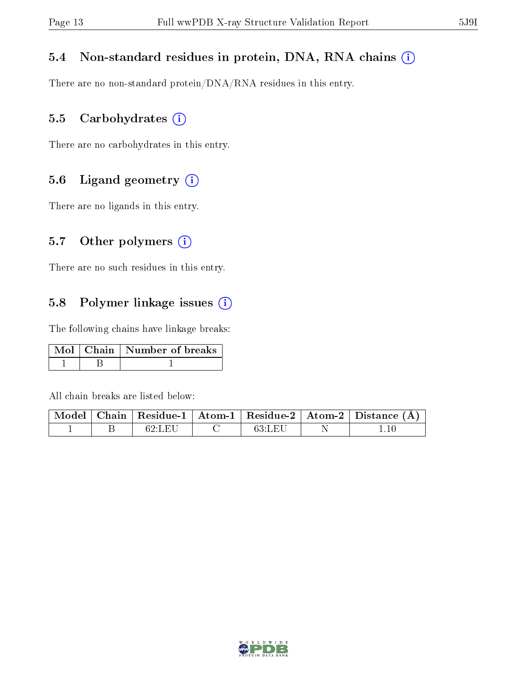#### 5.4 Non-standard residues in protein, DNA, RNA chains  $(i)$

There are no non-standard protein/DNA/RNA residues in this entry.

#### 5.5 Carbohydrates  $(i)$

There are no carbohydrates in this entry.

#### 5.6 Ligand geometry (i)

There are no ligands in this entry.

#### 5.7 [O](https://www.wwpdb.org/validation/2017/XrayValidationReportHelp#nonstandard_residues_and_ligands)ther polymers  $(i)$

There are no such residues in this entry.

#### 5.8 Polymer linkage issues  $(i)$

The following chains have linkage breaks:

|  | Mol   Chain   Number of breaks |
|--|--------------------------------|
|  |                                |

All chain breaks are listed below:

|  |        |        | Model   Chain   Residue-1   Atom-1   Residue-2   Atom-2   Distance (Å) |
|--|--------|--------|------------------------------------------------------------------------|
|  | 62:LEI | 63:LEU |                                                                        |

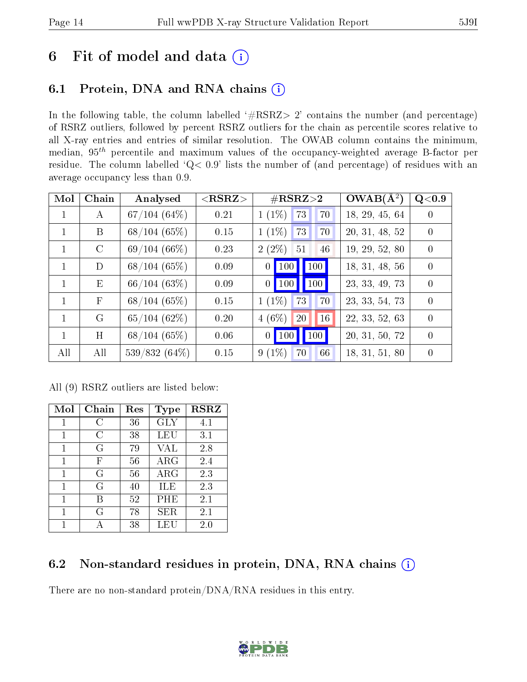## 6 Fit of model and data  $(i)$

### 6.1 Protein, DNA and RNA chains  $(i)$

In the following table, the column labelled  $#RSRZ> 2'$  contains the number (and percentage) of RSRZ outliers, followed by percent RSRZ outliers for the chain as percentile scores relative to all X-ray entries and entries of similar resolution. The OWAB column contains the minimum, median,  $95<sup>th</sup>$  percentile and maximum values of the occupancy-weighted average B-factor per residue. The column labelled ' $Q< 0.9$ ' lists the number of (and percentage) of residues with an average occupancy less than 0.9.

| Mol          | Chain        | Analysed        | ${ <\hspace{-1.5pt}{\mathrm{RSRZ}} \hspace{-1.5pt}>}$ | $\#\text{RSRZ}\text{>2}$                     | $OWAB(A^2)$    | Q <sub>0.9</sub> |
|--------------|--------------|-----------------|-------------------------------------------------------|----------------------------------------------|----------------|------------------|
| $\mathbf{1}$ | A            | $67/104~(64\%)$ | 0.21                                                  | $1(1\%)$<br>73<br>70                         | 18, 29, 45, 64 | $\left( \right)$ |
| $\mathbf{1}$ | B            | 68/104(65%)     | 0.15                                                  | $1(1\%)$<br>73<br>70                         | 20, 31, 48, 52 | $\Omega$         |
| $\mathbf{1}$ | $\rm C$      | 69/104(66%)     | 0.23                                                  | $2(2\%)$<br>51<br>46                         | 19, 29, 52, 80 | $\Omega$         |
| $\mathbf{1}$ | D            | 68/104(65%)     | 0.09                                                  | $\vert$ 100 $\vert$<br>100<br>0 <sup>1</sup> | 18, 31, 48, 56 | $\overline{0}$   |
| $\mathbf{1}$ | E            | 66/104(63%)     | 0.09                                                  | 100<br>$0$   100                             | 23, 33, 49, 73 | $\Omega$         |
| $\mathbf{1}$ | $\mathbf{F}$ | 68/104(65%)     | 0.15                                                  | $1(1\%)$<br>73<br>70                         | 23, 33, 54, 73 | $\Omega$         |
| $\mathbf{1}$ | G            | 65/104(62%)     | 0.20                                                  | $4(6\%)$<br>16<br>20                         | 22, 33, 52, 63 | $\Omega$         |
| $\mathbf{1}$ | H            | 68/104(65%)     | 0.06                                                  | 100<br>100<br>0 <sup>1</sup>                 | 20, 31, 50, 72 | $\Omega$         |
| All          | All          | 539/832 (64%)   | 0.15                                                  | $9(1\%)$<br>66<br>70                         | 18, 31, 51, 80 | $\Omega$         |

All (9) RSRZ outliers are listed below:

| Mol | Chain | Res | Type       | $\rm \bf RSR$ |
|-----|-------|-----|------------|---------------|
| 1   | C     | 36  | <b>GLY</b> | 4.1           |
| 1   | С     | 38  | <b>LEU</b> | 3.1           |
| 1   | G     | 79  | <b>VAL</b> | 2.8           |
| 1   | F     | 56  | $\rm{ARG}$ | 2.4           |
| 1   | G     | 56  | $\rm{ARG}$ | 2.3           |
| 1   | G     | 40  | ILE        | 2.3           |
| 1   | R     | 52  | PHE        | 2.1           |
| 1   | G     | 78  | SER        | 2.1           |
|     |       | 38  | LEU        | 2.0           |

### 6.2 Non-standard residues in protein, DNA, RNA chains  $(i)$

There are no non-standard protein/DNA/RNA residues in this entry.